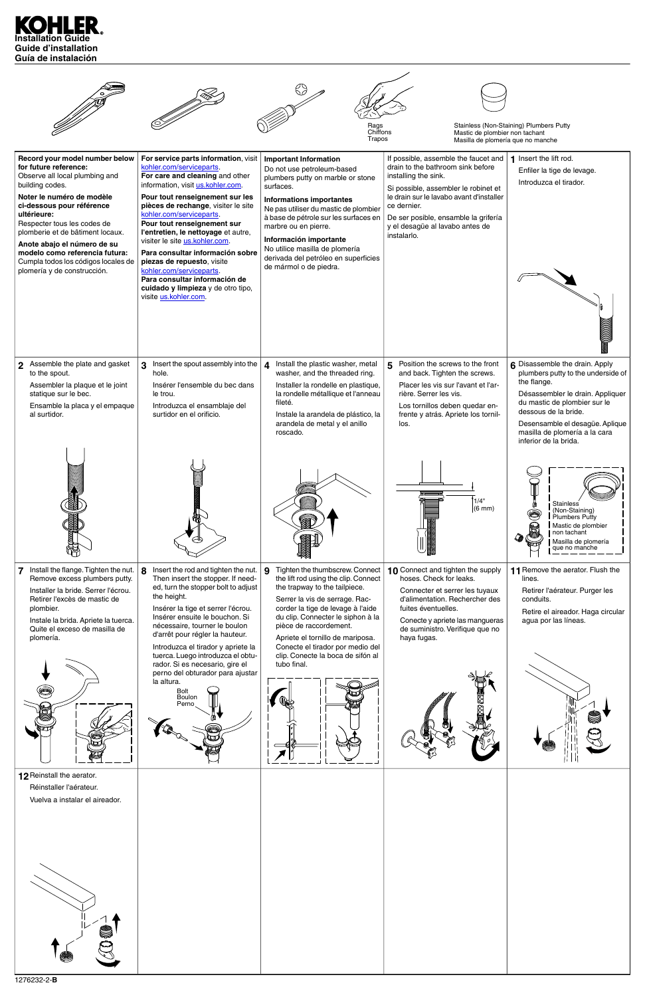

|                                                                                                                                                                                                                                                                                                                                                                                                 |                                                                                                                                                                                                                                                                                                                                                                                                                                                                                                                                                              | Rags<br>Chiffons<br>Trapos                                                                                                                                                                                                                                                                                                                                                              | Mastic de plombier non tachant<br>Masilla de plomería que no manche                                                                                                                                                                                                                            | Stainless (Non-Staining) Plumbers Putty                                                                                                                                                                                                                                      |
|-------------------------------------------------------------------------------------------------------------------------------------------------------------------------------------------------------------------------------------------------------------------------------------------------------------------------------------------------------------------------------------------------|--------------------------------------------------------------------------------------------------------------------------------------------------------------------------------------------------------------------------------------------------------------------------------------------------------------------------------------------------------------------------------------------------------------------------------------------------------------------------------------------------------------------------------------------------------------|-----------------------------------------------------------------------------------------------------------------------------------------------------------------------------------------------------------------------------------------------------------------------------------------------------------------------------------------------------------------------------------------|------------------------------------------------------------------------------------------------------------------------------------------------------------------------------------------------------------------------------------------------------------------------------------------------|------------------------------------------------------------------------------------------------------------------------------------------------------------------------------------------------------------------------------------------------------------------------------|
| Record your model number below<br>for future reference:<br>Observe all local plumbing and<br>building codes.<br>Noter le numéro de modèle<br>ci-dessous pour référence<br>ultérieure:<br>Respecter tous les codes de<br>plomberie et de bâtiment locaux.<br>Anote abajo el número de su<br>modelo como referencia futura:<br>Cumpla todos los códigos locales de<br>plomería y de construcción. | For service parts information, visit<br>kohler.com/serviceparts.<br>For care and cleaning and other<br>information, visit us.kohler.com.<br>Pour tout renseignement sur les<br>pièces de rechange, visiter le site<br>kohler.com/serviceparts.<br>Pour tout renseignement sur<br>l'entretien, le nettoyage et autre,<br>visiter le site <i>us.kohler.com</i> .<br>Para consultar información sobre<br>piezas de repuesto, visite<br>kohler.com/serviceparts.<br>Para consultar información de<br>cuidado y limpieza y de otro tipo,<br>visite us.kohler.com. | <b>Important Information</b><br>Do not use petroleum-based<br>plumbers putty on marble or stone<br>surfaces.<br><b>Informations importantes</b><br>Ne pas utiliser du mastic de plombier<br>à base de pétrole sur les surfaces en<br>marbre ou en pierre.<br>Información importante<br>No utilice masilla de plomería<br>derivada del petróleo en superficies<br>de mármol o de piedra. | If possible, assemble the faucet and<br>drain to the bathroom sink before<br>installing the sink.<br>Si possible, assembler le robinet et<br>le drain sur le lavabo avant d'installer<br>ce dernier.<br>De ser posible, ensamble la grifería<br>y el desagüe al lavabo antes de<br>instalarlo. | 1 Insert the lift rod.<br>Enfiler la tige de levage.<br>Introduzca el tirador.                                                                                                                                                                                               |
| 2 Assemble the plate and gasket<br>to the spout.<br>Assembler la plaque et le joint<br>statique sur le bec.<br>Ensamble la placa y el empaque<br>al surtidor.                                                                                                                                                                                                                                   | Insert the spout assembly into the<br>3 <sup>1</sup><br>hole.<br>Insérer l'ensemble du bec dans<br>le trou.<br>Introduzca el ensamblaje del<br>surtidor en el orificio.                                                                                                                                                                                                                                                                                                                                                                                      | Install the plastic washer, metal<br>$\boldsymbol{4}$<br>washer, and the threaded ring.<br>Installer la rondelle en plastique,<br>la rondelle métallique et l'anneau<br>fileté.<br>Instale la arandela de plástico, la<br>arandela de metal y el anillo<br>roscado.                                                                                                                     | Position the screws to the front<br>5<br>and back. Tighten the screws.<br>Placer les vis sur l'avant et l'ar-<br>rière. Serrer les vis.<br>Los tornillos deben quedar en-<br>frente y atrás. Apriete los tornil-<br>los.                                                                       | 6 Disassemble the drain. Apply<br>plumbers putty to the underside of<br>the flange.<br>Désassembler le drain. Appliquer<br>du mastic de plombier sur le<br>dessous de la bride.<br>Desensamble el desagüe. Aplique<br>masilla de plomería a la cara<br>inferior de la brida. |
|                                                                                                                                                                                                                                                                                                                                                                                                 |                                                                                                                                                                                                                                                                                                                                                                                                                                                                                                                                                              |                                                                                                                                                                                                                                                                                                                                                                                         | 1/4"<br>$(6 \text{ mm})$                                                                                                                                                                                                                                                                       | Stainless<br>(Non-Staining)<br>Plumbers Putty<br>Mastic de plombier<br>E<br>non tachant<br>Masilla de plomería<br>que no manche                                                                                                                                              |
| Install the flange. Tighten the nut.<br>Remove excess plumbers putty.<br>Installer la bride. Serrer l'écrou.<br>Retirer l'excès de mastic de<br>plombier.<br>Instale la brida. Apriete la tuerca.<br>Quite el exceso de masilla de<br>plomería.                                                                                                                                                 | Insert the rod and tighten the nut.<br>8<br>Then insert the stopper. If need-<br>ed, turn the stopper bolt to adjust<br>the height.<br>Insérer la tige et serrer l'écrou.<br>Insérer ensuite le bouchon. Si<br>nécessaire, tourner le boulon<br>d'arrêt pour régler la hauteur.<br>Introduzca el tirador y apriete la<br>tuerca. Luego introduzca el obtu-<br>rador. Si es necesario, gire el<br>perno del obturador para ajustar<br>la altura.<br>Bolt<br><b>Boulon</b><br>Perno                                                                            | Tighten the thumbscrew. Connect<br>9<br>the lift rod using the clip. Connect<br>the trapway to the tailpiece.<br>Serrer la vis de serrage. Rac-<br>corder la tige de levage à l'aide<br>du clip. Connecter le siphon à la<br>pièce de raccordement.<br>Apriete el tornillo de mariposa.<br>Conecte el tirador por medio del<br>clip. Conecte la boca de sifón al<br>tubo final.         | 10 Connect and tighten the supply<br>hoses. Check for leaks.<br>Connecter et serrer les tuyaux<br>d'alimentation. Rechercher des<br>fuites éventuelles.<br>Conecte y apriete las mangueras<br>de suministro. Verifique que no<br>haya fugas.                                                   | 11 Remove the aerator. Flush the<br>lines.<br>Retirer l'aérateur. Purger les<br>conduits.<br>Retire el aireador. Haga circular<br>agua por las líneas.                                                                                                                       |